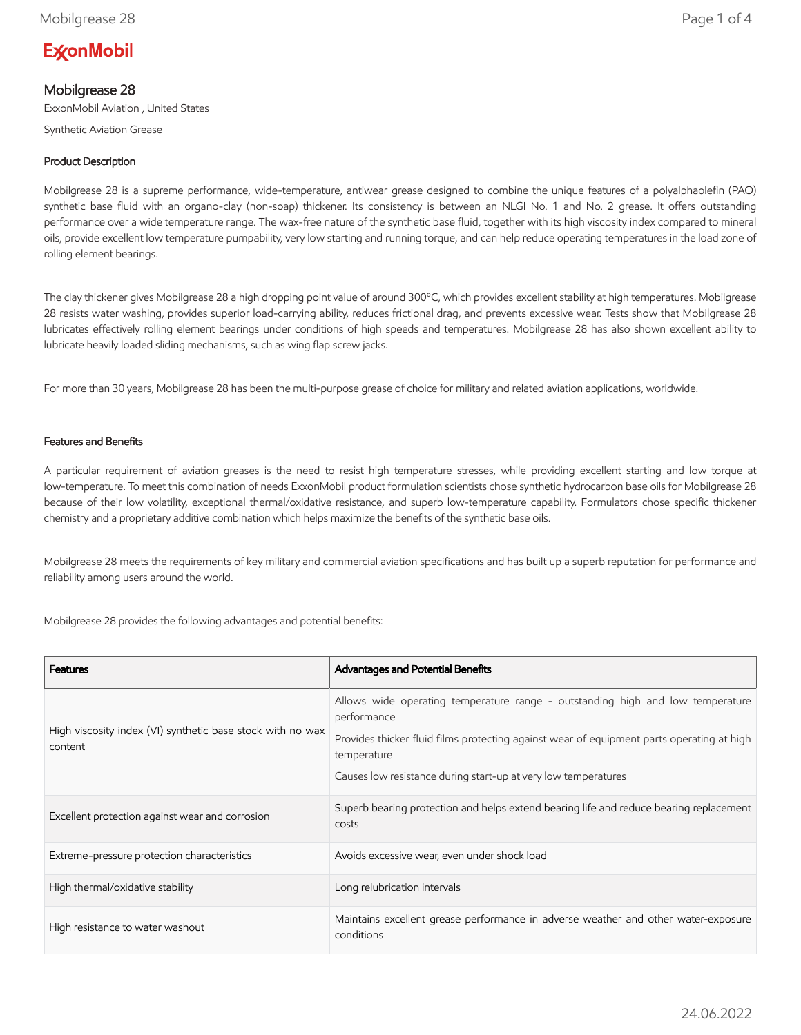# **ExconMobil**

# Mobilgrease 28

ExxonMobil Aviation , United States

Synthetic Aviation Grease

## Product Description

Mobilgrease 28 is a supreme performance, wide-temperature, antiwear grease designed to combine the unique features of a polyalphaolefin (PAO) synthetic base fluid with an organo-clay (non-soap) thickener. Its consistency is between an NLGI No. 1 and No. 2 grease. It offers outstanding performance over a wide temperature range. The wax-free nature of the synthetic base fluid, together with its high viscosity index compared to mineral oils, provide excellent low temperature pumpability, very low starting and running torque, and can help reduce operating temperatures in the load zone of rolling element bearings.

The clay thickener gives Mobilgrease 28 a high dropping point value of around 300ºC, which provides excellent stability at high temperatures. Mobilgrease 28 resists water washing, provides superior load-carrying ability, reduces frictional drag, and prevents excessive wear. Tests show that Mobilgrease 28 lubricates effectively rolling element bearings under conditions of high speeds and temperatures. Mobilgrease 28 has also shown excellent ability to lubricate heavily loaded sliding mechanisms, such as wing flap screw jacks.

For more than 30 years, Mobilgrease 28 has been the multi-purpose grease of choice for military and related aviation applications, worldwide.

### Features and Benefits

A particular requirement of aviation greases is the need to resist high temperature stresses, while providing excellent starting and low torque at low-temperature. To meet this combination of needs ExxonMobil product formulation scientists chose synthetic hydrocarbon base oils for Mobilgrease 28 because of their low volatility, exceptional thermal/oxidative resistance, and superb low-temperature capability. Formulators chose specific thickener chemistry and a proprietary additive combination which helps maximize the benefits of the synthetic base oils.

Mobilgrease 28 meets the requirements of key military and commercial aviation specifications and has built up a superb reputation for performance and reliability among users around the world.

Mobilgrease 28 provides the following advantages and potential benefits:

| <b>Features</b>                                                       | Advantages and Potential Benefits                                                                                                                                                                         |
|-----------------------------------------------------------------------|-----------------------------------------------------------------------------------------------------------------------------------------------------------------------------------------------------------|
| High viscosity index (VI) synthetic base stock with no wax<br>content | Allows wide operating temperature range - outstanding high and low temperature<br>performance<br>Provides thicker fluid films protecting against wear of equipment parts operating at high<br>temperature |
|                                                                       | Causes low resistance during start-up at very low temperatures                                                                                                                                            |
| Excellent protection against wear and corrosion                       | Superb bearing protection and helps extend bearing life and reduce bearing replacement<br>costs                                                                                                           |
| Extreme-pressure protection characteristics                           | Avoids excessive wear, even under shock load                                                                                                                                                              |
| High thermal/oxidative stability                                      | Long relubrication intervals                                                                                                                                                                              |
| High resistance to water washout                                      | Maintains excellent grease performance in adverse weather and other water-exposure<br>conditions                                                                                                          |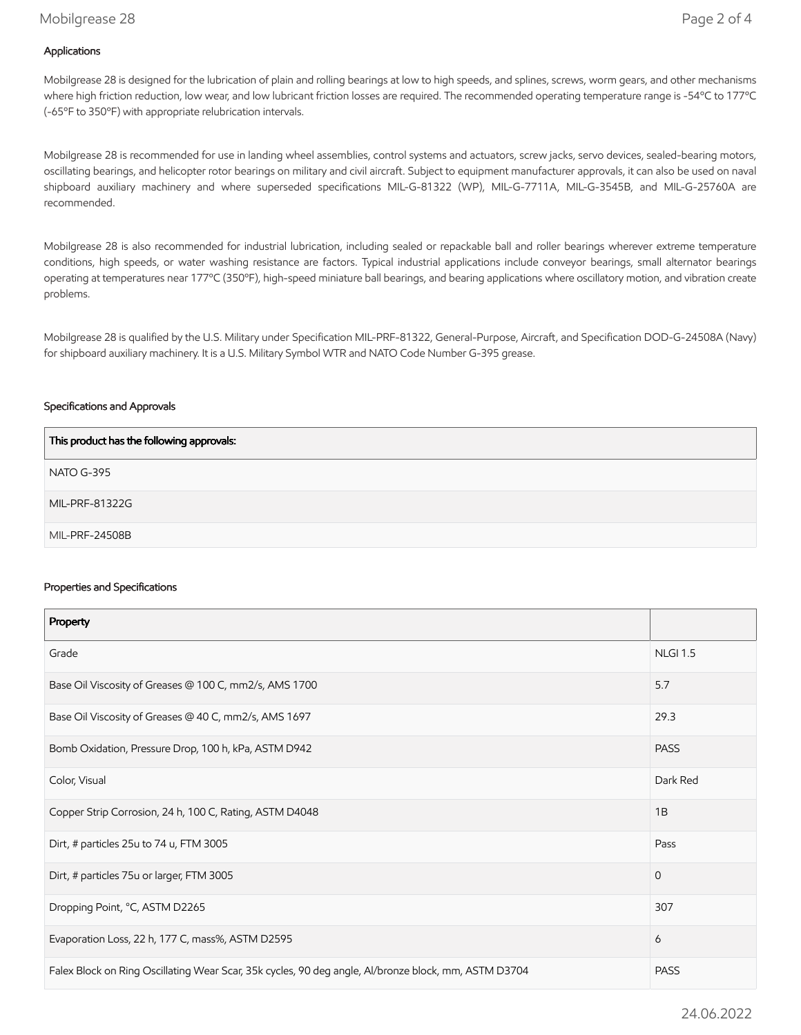## Mobilgrease 28 Page 2 of 4

## Applications

Mobilgrease 28 is designed for the lubrication of plain and rolling bearings at low to high speeds, and splines, screws, worm gears, and other mechanisms where high friction reduction, low wear, and low lubricant friction losses are required. The recommended operating temperature range is -54ºC to 177ºC (-65ºF to 350ºF) with appropriate relubrication intervals.

Mobilgrease 28 is recommended for use in landing wheel assemblies, control systems and actuators, screw jacks, servo devices, sealed-bearing motors, oscillating bearings, and helicopter rotor bearings on military and civil aircraft. Subject to equipment manufacturer approvals, it can also be used on naval shipboard auxiliary machinery and where superseded specifications MIL-G-81322 (WP), MIL-G-7711A, MIL-G-3545B, and MIL-G-25760A are recommended.

Mobilgrease 28 is also recommended for industrial lubrication, including sealed or repackable ball and roller bearings wherever extreme temperature conditions, high speeds, or water washing resistance are factors. Typical industrial applications include conveyor bearings, small alternator bearings operating at temperatures near 177ºC (350ºF), high-speed miniature ball bearings, and bearing applications where oscillatory motion, and vibration create problems.

Mobilgrease 28 is qualified by the U.S. Military under Specification MIL-PRF-81322, General-Purpose, Aircraft, and Specification DOD-G-24508A (Navy) for shipboard auxiliary machinery. It is a U.S. Military Symbol WTR and NATO Code Number G-395 grease.

#### Specifications and Approvals

| This product has the following approvals: |
|-------------------------------------------|
| NATO G-395                                |
| MIL-PRF-81322G                            |
| MIL-PRF-24508B                            |

#### Properties and Specifications

| Property                                                                                             |                 |
|------------------------------------------------------------------------------------------------------|-----------------|
| Grade                                                                                                | <b>NLGI 1.5</b> |
| Base Oil Viscosity of Greases @ 100 C, mm2/s, AMS 1700                                               | 5.7             |
| Base Oil Viscosity of Greases @ 40 C, mm2/s, AMS 1697                                                | 29.3            |
| Bomb Oxidation, Pressure Drop, 100 h, kPa, ASTM D942                                                 | <b>PASS</b>     |
| Color, Visual                                                                                        | Dark Red        |
| Copper Strip Corrosion, 24 h, 100 C, Rating, ASTM D4048                                              | 1B              |
| Dirt, # particles 25u to 74 u, FTM 3005                                                              | Pass            |
| Dirt, # particles 75u or larger, FTM 3005                                                            | $\mathbf{0}$    |
| Dropping Point, °C, ASTM D2265                                                                       | 307             |
| Evaporation Loss, 22 h, 177 C, mass%, ASTM D2595                                                     | 6               |
| Falex Block on Ring Oscillating Wear Scar, 35k cycles, 90 deg angle, Al/bronze block, mm, ASTM D3704 |                 |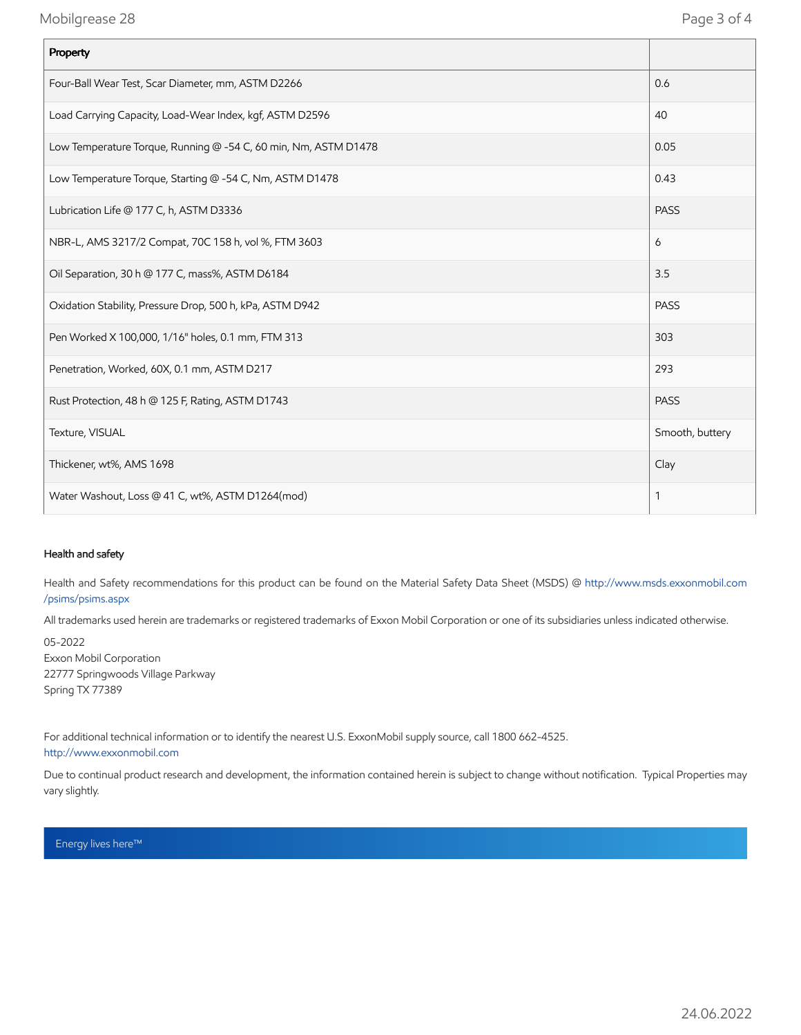| Property                                                        |                 |
|-----------------------------------------------------------------|-----------------|
| Four-Ball Wear Test, Scar Diameter, mm, ASTM D2266              | 0.6             |
| Load Carrying Capacity, Load-Wear Index, kgf, ASTM D2596        | 40              |
| Low Temperature Torque, Running @ -54 C, 60 min, Nm, ASTM D1478 | 0.05            |
| Low Temperature Torque, Starting @ -54 C, Nm, ASTM D1478        | 0.43            |
| Lubrication Life @ 177 C, h, ASTM D3336                         | <b>PASS</b>     |
| NBR-L, AMS 3217/2 Compat, 70C 158 h, vol %, FTM 3603            | 6               |
| Oil Separation, 30 h @ 177 C, mass%, ASTM D6184                 | 3.5             |
| Oxidation Stability, Pressure Drop, 500 h, kPa, ASTM D942       | <b>PASS</b>     |
| Pen Worked X 100,000, 1/16" holes, 0.1 mm, FTM 313              | 303             |
| Penetration, Worked, 60X, 0.1 mm, ASTM D217                     | 293             |
| Rust Protection, 48 h @ 125 F, Rating, ASTM D1743               | <b>PASS</b>     |
| Texture, VISUAL                                                 | Smooth, buttery |
| Thickener, wt%, AMS 1698                                        | Clay            |
| Water Washout, Loss @ 41 C, wt%, ASTM D1264(mod)                | 1               |

### Health and safety

Health and Safety recommendations for this product can be found on the Material Safety Data Sheet (MSDS) @ [http://www.msds.exxonmobil.com](http://www.msds.exxonmobil.com/psims/psims.aspx) /psims/psims.aspx

All trademarks used herein are trademarks or registered trademarks of Exxon Mobil Corporation or one of its subsidiaries unless indicated otherwise.

05-2022 Exxon Mobil Corporation 22777 Springwoods Village Parkway Spring TX 77389

For additional technical information or to identify the nearest U.S. ExxonMobil supply source, call 1800 662-4525. [http://www.exxonmobil.com](http://www.exxonmobil.com/)

Due to continual product research and development, the information contained herein is subject to change without notification. Typical Properties may vary slightly.

Energy lives here™